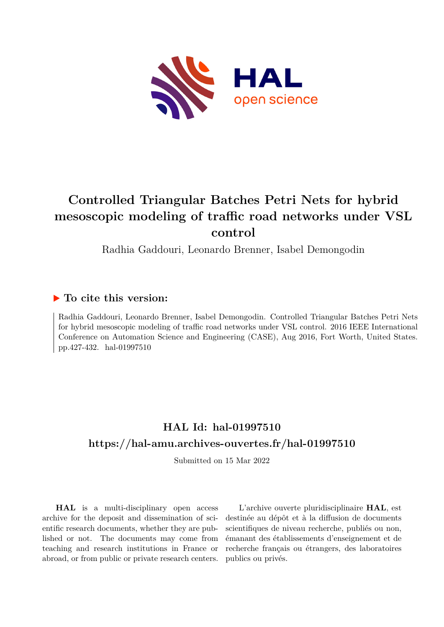

# **Controlled Triangular Batches Petri Nets for hybrid mesoscopic modeling of traffic road networks under VSL control**

Radhia Gaddouri, Leonardo Brenner, Isabel Demongodin

# **To cite this version:**

Radhia Gaddouri, Leonardo Brenner, Isabel Demongodin. Controlled Triangular Batches Petri Nets for hybrid mesoscopic modeling of traffic road networks under VSL control. 2016 IEEE International Conference on Automation Science and Engineering (CASE), Aug 2016, Fort Worth, United States. pp.427-432. hal-01997510

# **HAL Id: hal-01997510 <https://hal-amu.archives-ouvertes.fr/hal-01997510>**

Submitted on 15 Mar 2022

**HAL** is a multi-disciplinary open access archive for the deposit and dissemination of scientific research documents, whether they are published or not. The documents may come from teaching and research institutions in France or abroad, or from public or private research centers.

L'archive ouverte pluridisciplinaire **HAL**, est destinée au dépôt et à la diffusion de documents scientifiques de niveau recherche, publiés ou non, émanant des établissements d'enseignement et de recherche français ou étrangers, des laboratoires publics ou privés.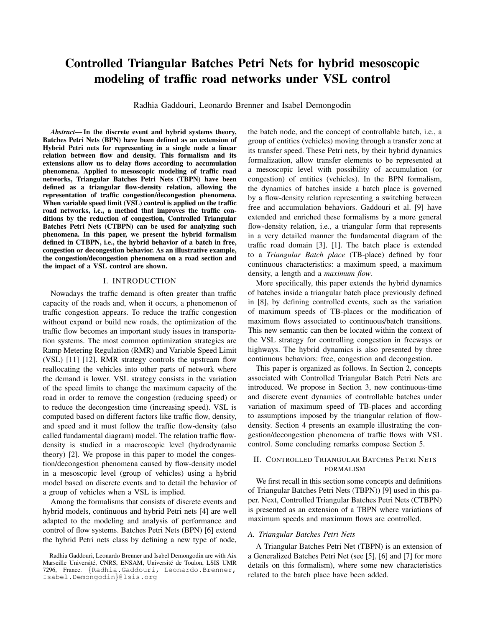# Controlled Triangular Batches Petri Nets for hybrid mesoscopic modeling of traffic road networks under VSL control

Radhia Gaddouri, Leonardo Brenner and Isabel Demongodin

*Abstract*— In the discrete event and hybrid systems theory, Batches Petri Nets (BPN) have been defined as an extension of Hybrid Petri nets for representing in a single node a linear relation between flow and density. This formalism and its extensions allow us to delay flows according to accumulation phenomena. Applied to mesoscopic modeling of traffic road networks, Triangular Batches Petri Nets (TBPN) have been defined as a triangular flow-density relation, allowing the representation of traffic congestion/decongestion phenomena. When variable speed limit (VSL) control is applied on the traffic road networks, i.e., a method that improves the traffic conditions by the reduction of congestion, Controlled Triangular Batches Petri Nets (CTBPN) can be used for analyzing such phenomena. In this paper, we present the hybrid formalism defined in CTBPN, i.e., the hybrid behavior of a batch in free, congestion or decongestion behavior. As an illustrative example, the congestion/decongestion phenomena on a road section and the impact of a VSL control are shown.

### I. INTRODUCTION

Nowadays the traffic demand is often greater than traffic capacity of the roads and, when it occurs, a phenomenon of traffic congestion appears. To reduce the traffic congestion without expand or build new roads, the optimization of the traffic flow becomes an important study issues in transportation systems. The most common optimization strategies are Ramp Metering Regulation (RMR) and Variable Speed Limit (VSL) [11] [12]. RMR strategy controls the upstream flow reallocating the vehicles into other parts of network where the demand is lower. VSL strategy consists in the variation of the speed limits to change the maximum capacity of the road in order to remove the congestion (reducing speed) or to reduce the decongestion time (increasing speed). VSL is computed based on different factors like traffic flow, density, and speed and it must follow the traffic flow-density (also called fundamental diagram) model. The relation traffic flowdensity is studied in a macroscopic level (hydrodynamic theory) [2]. We propose in this paper to model the congestion/decongestion phenomena caused by flow-density model in a mesoscopic level (group of vehicles) using a hybrid model based on discrete events and to detail the behavior of a group of vehicles when a VSL is implied.

Among the formalisms that consists of discrete events and hybrid models, continuous and hybrid Petri nets [4] are well adapted to the modeling and analysis of performance and control of flow systems. Batches Petri Nets (BPN) [6] extend the hybrid Petri nets class by defining a new type of node,

the batch node, and the concept of controllable batch, i.e., a group of entities (vehicles) moving through a transfer zone at its transfer speed. These Petri nets, by their hybrid dynamics formalization, allow transfer elements to be represented at a mesoscopic level with possibility of accumulation (or congestion) of entities (vehicles). In the BPN formalism, the dynamics of batches inside a batch place is governed by a flow-density relation representing a switching between free and accumulation behaviors. Gaddouri et al. [9] have extended and enriched these formalisms by a more general flow-density relation, i.e., a triangular form that represents in a very detailed manner the fundamental diagram of the traffic road domain [3], [1]. The batch place is extended to a *Triangular Batch place* (TB-place) defined by four continuous characteristics: a maximum speed, a maximum density, a length and a *maximum flow*.

More specifically, this paper extends the hybrid dynamics of batches inside a triangular batch place previously defined in [8], by defining controlled events, such as the variation of maximum speeds of TB-places or the modification of maximum flows associated to continuous/batch transitions. This new semantic can then be located within the context of the VSL strategy for controlling congestion in freeways or highways. The hybrid dynamics is also presented by three continuous behaviors: free, congestion and decongestion.

This paper is organized as follows. In Section 2, concepts associated with Controlled Triangular Batch Petri Nets are introduced. We propose in Section 3, new continuous-time and discrete event dynamics of controllable batches under variation of maximum speed of TB-places and according to assumptions imposed by the triangular relation of flowdensity. Section 4 presents an example illustrating the congestion/decongestion phenomena of traffic flows with VSL control. Some concluding remarks compose Section 5.

# II. CONTROLLED TRIANGULAR BATCHES PETRI NETS FORMALISM

We first recall in this section some concepts and definitions of Triangular Batches Petri Nets (TBPN)) [9] used in this paper. Next, Controlled Triangular Batches Petri Nets (CTBPN) is presented as an extension of a TBPN where variations of maximum speeds and maximum flows are controlled.

# *A. Triangular Batches Petri Nets*

A Triangular Batches Petri Net (TBPN) is an extension of a Generalized Batches Petri Net (see [5], [6] and [7] for more details on this formalism), where some new characteristics related to the batch place have been added.

Radhia Gaddouri, Leonardo Brenner and Isabel Demongodin are with Aix Marseille Université, CNRS, ENSAM, Université de Toulon, LSIS UMR 7296, France. {Radhia.Gaddouri, Leonardo.Brenner, Isabel.Demongodin}@lsis.org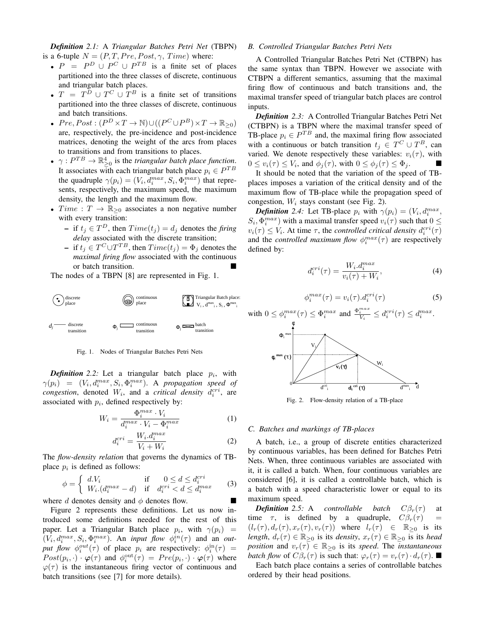*Definition 2.1:* A *Triangular Batches Petri Net* (TBPN) is a 6-tuple  $N = (P, T, Pre, Post, \gamma, Time)$  where:

- $P = P^D \cup P^C \cup P^{TB}$  is a finite set of places partitioned into the three classes of discrete, continuous and triangular batch places.
- $T = T^D \cup T^C \cup T^B$  is a finite set of transitions partitioned into the three classes of discrete, continuous and batch transitions.
- $Pre, Post : (P^D \times T \to \mathbb{N}) \cup ((P^C \cup P^B) \times T \to \mathbb{R}_{\geq 0})$ are, respectively, the pre-incidence and post-incidence matrices, denoting the weight of the arcs from places to transitions and from transitions to places.
- $\gamma: P^{TB} \to \mathbb{R}^4_{\geq 0}$  is the *triangular batch place function*. It associates with each triangular batch place  $p_i \in P^{TB}$ the quadruple  $\gamma(p_i) = (V_i, d_i^{max}, S_i, \Phi_i^{max})$  that represents, respectively, the maximum speed, the maximum density, the length and the maximum flow.
- *Time* :  $T \rightarrow \mathbb{R}_{\geq 0}$  associates a non negative number with every transition:
	- $-$  if  $t_j$  ∈  $T^D$ , then  $Time(t_j) = d_j$  denotes the *firing delay* associated with the discrete transition;
	- $-$  if  $t_j$  ∈  $T^C \cup T^{TB}$ , then  $Time(t_j) = \Phi_j$  denotes the *maximal firing flow* associated with the continuous or batch transition.

The nodes of a TBPN [8] are represented in Fig. 1.



Fig. 1. Nodes of Triangular Batches Petri Nets

**Definition** 2.2: Let a triangular batch place  $p_i$ , with  $\gamma(p_i) = (V_i, d_i^{max}, S_i, \Phi_i^{max})$ . A *propagation speed of congestion*, denoted  $W_i$ , and a *critical density*  $d_i^{cri}$ , are associated with  $p_i$ , defined respectively by:

$$
W_i = \frac{\Phi_i^{max} \cdot V_i}{d_i^{max} \cdot V_i - \Phi_i^{max}} \tag{1}
$$

$$
d_i^{cri} = \frac{W_i.d_i^{max}}{V_i + W_i}
$$
 (2)

The *flow-density relation* that governs the dynamics of TBplace  $p_i$  is defined as follows:

$$
\phi = \begin{cases} d.V_i & \text{if } 0 \le d \le d_i^{cri} \\ W_i.(d_i^{max} - d) & \text{if } d_i^{cri} < d \le d_i^{max} \end{cases} \tag{3}
$$

where d denotes density and  $\phi$  denotes flow.

Figure 2 represents these definitions. Let us now introduced some definitions needed for the rest of this paper. Let a Triangular Batch place  $p_i$ , with  $\gamma(p_i)$  =  $(V_i, d_i^{max}, S_i, \Phi_i^{max})$ . An *input flow*  $\phi_i^{in}(\tau)$  and an *out*put flow  $\phi_i^{out}(\tau)$  of place  $p_i$  are respectively:  $\phi_i^{in}(\tau)$  =  $Post(p_i, \cdot) \cdot \varphi(\tau)$  and  $\phi_i^{\text{out}}(\tau) = Pre(p_i, \cdot) \cdot \varphi(\tau)$  where  $\varphi(\tau)$  is the instantaneous firing vector of continuous and batch transitions (see [7] for more details).

# *B. Controlled Triangular Batches Petri Nets*

A Controlled Triangular Batches Petri Net (CTBPN) has the same syntax than TBPN. However we associate with CTBPN a different semantics, assuming that the maximal firing flow of continuous and batch transitions and, the maximal transfer speed of triangular batch places are control inputs.

*Definition 2.3:* A Controlled Triangular Batches Petri Net (CTBPN) is a TBPN where the maximal transfer speed of TB-place  $p_i \in P^{TB}$  and, the maximal firing flow associated with a continuous or batch transition  $t_j \in T^C \cup T^B$ , can varied. We denote respectively these variables:  $v_i(\tau)$ , with  $0 \le v_i(\tau) \le V_i$ , and  $\phi_j(\tau)$ , with  $0 \le \phi_j(\tau) \le \Phi_j$ .

It should be noted that the variation of the speed of TBplaces imposes a variation of the critical density and of the maximum flow of TB-place while the propagation speed of congestion,  $W_i$  stays constant (see Fig. 2).

**Definition** 2.4: Let TB-place  $p_i$  with  $\gamma(p_i) = (V_i, d_i^{max},$  $(S_i, \Phi_i^{max})$  with a maximal transfer speed  $v_i(\tau)$  such that  $0 \leq$  $v_i(\tau) \leq V_i$ . At time  $\tau$ , the *controlled critical density*  $d_i^{cri}(\tau)$ and the *controlled maximum flow*  $\phi_i^{max}(\tau)$  are respectively defined by:

$$
d_i^{cri}(\tau) = \frac{W_i \cdot d_i^{max}}{v_i(\tau) + W_i},\tag{4}
$$

$$
\phi_i^{max}(\tau) = v_i(\tau).d_i^{cri}(\tau) \tag{5}
$$



Fig. 2. Flow-density relation of a TB-place

#### *C. Batches and markings of TB-places*

A batch, i.e., a group of discrete entities characterized by continuous variables, has been defined for Batches Petri Nets. When, three continuous variables are associated with it, it is called a batch. When, four continuous variables are considered [6], it is called a controllable batch, which is a batch with a speed characteristic lower or equal to its maximum speed.

*Definition* 2.5: A controllable batch  $C\beta_r(\tau)$  at time  $\tau$ , is defined by a quadruple,  $C\beta_r(\tau)$  =  $(l_r(\tau), d_r(\tau), x_r(\tau), v_r(\tau))$  where  $l_r(\tau) \in \mathbb{R}_{\geq 0}$  is its *length*,  $d_r(\tau) \in \mathbb{R}_{\geq 0}$  *is its density*,  $x_r(\tau) \in \mathbb{R}_{\geq 0}$  *is its head position* and  $v_r(\tau) \in \mathbb{R}_{\geq 0}$  is its *speed*. The *instantaneous batch flow* of  $C\beta_r(\tau)$  is such that:  $\varphi_r(\tau) = v_r(\tau) \cdot d_r(\tau)$ .

Each batch place contains a series of controllable batches ordered by their head positions.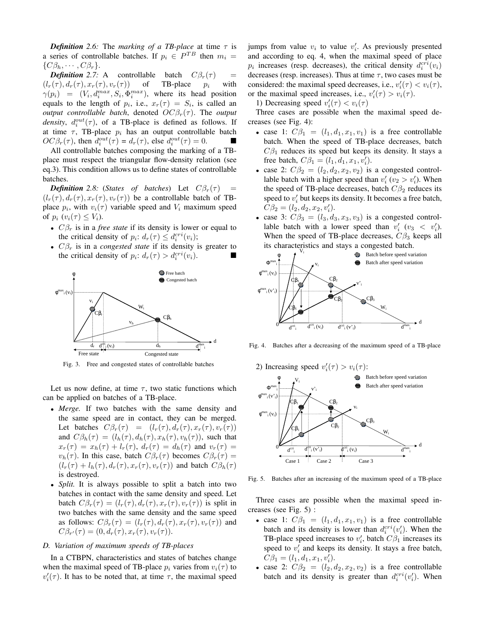*Definition* 2.6: The *marking of a TB-place* at time  $\tau$  is a series of controllable batches. If  $p_i \in P^{TB}$  then  $m_i =$  $\{C\beta_h, \cdots, C\beta_r\}.$ 

*Definition* 2.7: A controllable batch  $C\beta_r(\tau)$  =  $(l_r(\tau), d_r(\tau), x_r(\tau), v_r(\tau))$  of TB-place  $p_i$  with  $\gamma(p_i) = (V_i, d_i^{max}, S_i, \Phi_i^{max})$ , where its head position equals to the length of  $p_i$ , i.e.,  $x_r(\tau) = S_i$ , is called an *output controllable batch*, denoted  $OC\beta_r(\tau)$ . The *output density*,  $d_i^{out}(\tau)$ , of a TB-place is defined as follows. If at time  $\tau$ , TB-place  $p_i$  has an output controllable batch  $OC\beta_r(\tau)$ , then  $d_i^{out}(\tau) = d_r(\tau)$ , else  $d_i^{out}(\tau) = 0$ .

All controllable batches composing the marking of a TBplace must respect the triangular flow-density relation (see eq.3). This condition allows us to define states of controllable batches.

*Definition* 2.8: (*States of batches*) Let  $C\beta_r(\tau)$  $(l_r(\tau), d_r(\tau), x_r(\tau), v_r(\tau))$  be a controllable batch of TBplace  $p_i$ , with  $v_i(\tau)$  variable speed and  $V_i$  maximum speed of  $p_i$   $(v_i(\tau) \leq V_i)$ .

- $C\beta_r$  is in a *free state* if its density is lower or equal to the critical density of  $p_i$ :  $d_r(\tau) \leq d_i^{cri}(v_i)$ ;
- $C\beta_r$  is in a *congested state* if its density is greater to the critical density of  $p_i$ :  $d_r(\tau) > d_i^{cri}(v_i)$ .



Fig. 3. Free and congested states of controllable batches

Let us now define, at time  $\tau$ , two static functions which can be applied on batches of a TB-place.

- *Merge.* If two batches with the same density and the same speed are in contact, they can be merged. Let batches  $C\beta_r(\tau) = (l_r(\tau), d_r(\tau), x_r(\tau), v_r(\tau))$ and  $C\beta_h(\tau) = (l_h(\tau), d_h(\tau), x_h(\tau), v_h(\tau))$ , such that  $x_r(\tau) = x_h(\tau) + l_r(\tau)$ ,  $d_r(\tau) = d_h(\tau)$  and  $v_r(\tau) =$  $v_h(\tau)$ . In this case, batch  $C\beta_r(\tau)$  becomes  $C\beta_r(\tau)$  =  $(l_r(\tau) + l_h(\tau), d_r(\tau), x_r(\tau), v_r(\tau))$  and batch  $C\beta_h(\tau)$ is destroyed.
- *Split.* It is always possible to split a batch into two batches in contact with the same density and speed. Let batch  $C\beta_r(\tau) = (l_r(\tau), d_r(\tau), x_r(\tau), v_r(\tau))$  is split in two batches with the same density and the same speed as follows:  $C\beta_r(\tau) = (l_r(\tau), d_r(\tau), x_r(\tau), v_r(\tau))$  and  $C\beta_{r'}(\tau) = (0, d_r(\tau), x_r(\tau), v_r(\tau)).$

# *D. Variation of maximum speeds of TB-places*

In a CTBPN, characteristics and states of batches change when the maximal speed of TB-place  $p_i$  varies from  $v_i(\tau)$  to  $v_i'(\tau)$ . It has to be noted that, at time  $\tau$ , the maximal speed

jumps from value  $v_i$  to value  $v'_i$ . As previously presented and according to eq. 4, when the maximal speed of place  $p_i$  increases (resp. decreases), the critical density  $d_i^{cri}(v_i)$ decreases (resp. increases). Thus at time  $\tau$ , two cases must be considered: the maximal speed decreases, i.e.,  $v_i'(\tau) < v_i(\tau)$ , or the maximal speed increases, i.e.,  $v_i'(\tau) > v_i(\tau)$ .

1) Decreasing speed  $v_i'(\tau) < v_i(\tau)$ 

Three cases are possible when the maximal speed decreases (see Fig. 4):

- case 1:  $C\beta_1 = (l_1, d_1, x_1, v_1)$  is a free controllable batch. When the speed of TB-place decreases, batch  $C\beta_1$  reduces its speed but keeps its density. It stays a free batch,  $C\beta_1 = (l_1, d_1, x_1, v'_i)$ .
- case 2:  $C\beta_2 = (l_2, d_2, x_2, v_2)$  is a congested controllable batch with a higher speed than  $v_i'$  ( $v_2 > v_i'$ ). When the speed of TB-place decreases, batch  $C\beta_2$  reduces its speed to  $v_i'$  but keeps its density. It becomes a free batch,  $C\beta_2 = (l_2, d_2, x_2, v'_i).$
- case 3:  $C\beta_3 = (l_3, d_3, x_3, v_3)$  is a congested controllable batch with a lower speed than  $v'_i$  ( $v_3 < v'_i$ ). When the speed of TB-place decreases,  $C\beta_3$  keeps all



Fig. 4. Batches after a decreasing of the maximum speed of a TB-place





Fig. 5. Batches after an increasing of the maximum speed of a TB-place

Three cases are possible when the maximal speed increases (see Fig. 5) :

- case 1:  $C\beta_1 = (l_1, d_1, x_1, v_1)$  is a free controllable batch and its density is lower than  $d_i^{cri}(v_i')$ . When the TB-place speed increases to  $v_i'$ , batch  $C\beta_1$  increases its speed to  $v_i'$  and keeps its density. It stays a free batch,  $C\beta_1 = (l_1, d_1, x_1, v'_i).$
- case 2:  $C\beta_2 = (l_2, d_2, x_2, v_2)$  is a free controllable batch and its density is greater than  $d_i^{cri}(v_i')$ . When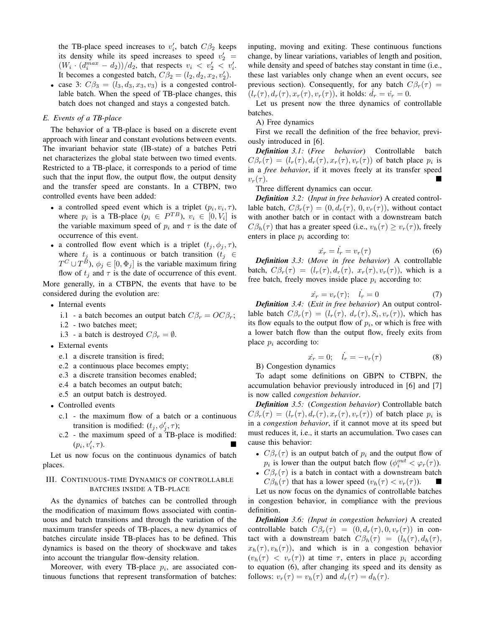the TB-place speed increases to  $v'_i$ , batch  $C\beta_2$  keeps its density while its speed increases to speed  $v'_2$  =  $(W_i \cdot (d_i^{max} - d_2))/d_2$ , that respects  $v_i \langle v_2' \rangle \langle v_i'.$ It becomes a congested batch,  $C\beta_2 = (l_2, d_2, x_2, v_2')$ .

• case 3:  $C\beta_3 = (l_3, d_3, x_3, v_3)$  is a congested controllable batch. When the speed of TB-place changes, this batch does not changed and stays a congested batch.

### *E. Events of a TB-place*

The behavior of a TB-place is based on a discrete event approach with linear and constant evolutions between events. The invariant behavior state (IB-state) of a batches Petri net characterizes the global state between two timed events. Restricted to a TB-place, it corresponds to a period of time such that the input flow, the output flow, the output density and the transfer speed are constants. In a CTBPN, two controlled events have been added:

- a controlled speed event which is a triplet  $(p_i, v_i, \tau)$ , where  $p_i$  is a TB-place  $(p_i \in P^{TB})$ ,  $v_i \in [0, V_i]$  is the variable maximum speed of  $p_i$  and  $\tau$  is the date of occurrence of this event.
- a controlled flow event which is a triplet  $(t_i, \phi_i, \tau)$ , where  $t_j$  is a continuous or batch transition ( $t_j \in$  $T^C \cup T^B$ ),  $\phi_j \in [0, \Phi_j]$  is the variable maximum firing flow of  $t_j$  and  $\tau$  is the date of occurrence of this event.

More generally, in a CTBPN, the events that have to be considered during the evolution are:

- Internal events
	- i.1 a batch becomes an output batch  $C\beta_r = OC\beta_r$ ;
	- i.2 two batches meet;
	- i.3 a batch is destroyed  $C\beta_r = \emptyset$ .
- External events
	- e.1 a discrete transition is fired;
	- e.2 a continuous place becomes empty;
	- e.3 a discrete transition becomes enabled;
	- e.4 a batch becomes an output batch;
	- e.5 an output batch is destroyed.
- Controlled events
	- c.1 the maximum flow of a batch or a continuous transition is modified:  $(t_j, \phi'_j, \tau)$ ;
	- c.2 the maximum speed of a TB-place is modified:  $(p_i, v'_i)$  $, \tau$ ).

Let us now focus on the continuous dynamics of batch places.

# III. CONTINUOUS-TIME DYNAMICS OF CONTROLLABLE BATCHES INSIDE A TB-PLACE

As the dynamics of batches can be controlled through the modification of maximum flows associated with continuous and batch transitions and through the variation of the maximum transfer speeds of TB-places, a new dynamics of batches circulate inside TB-places has to be defined. This dynamics is based on the theory of shockwave and takes into account the triangular flow-density relation.

Moreover, with every TB-place  $p_i$ , are associated continuous functions that represent transformation of batches: inputing, moving and exiting. These continuous functions change, by linear variations, variables of length and position, while density and speed of batches stay constant in time (i.e., these last variables only change when an event occurs, see previous section). Consequently, for any batch  $C\beta_r(\tau)$  =  $(l_r(\tau), d_r(\tau), x_r(\tau), v_r(\tau))$ , it holds:  $d_r = \dot{v}_r = 0$ .

Let us present now the three dynamics of controllable batches.

A) Free dynamics

First we recall the definition of the free behavior, previously introduced in [6].

*Definition 3.1:* (*Free behavior*) Controllable batch  $C\beta_r(\tau) = (l_r(\tau), d_r(\tau), x_r(\tau), v_r(\tau))$  of batch place  $p_i$  is in a *free behavior*, if it moves freely at its transfer speed  $v_r(\tau)$ .

Three different dynamics can occur.

*Definition 3.2:* (*Input in free behavior*) A created controllable batch,  $C\beta_r(\tau) = (0, d_r(\tau), 0, v_r(\tau))$ , without contact with another batch or in contact with a downstream batch  $C\beta_h(\tau)$  that has a greater speed (i.e.,  $v_h(\tau) \ge v_r(\tau)$ ), freely enters in place  $p_i$  according to:

$$
\dot{x_r} = \dot{l_r} = v_r(\tau) \tag{6}
$$

*Definition 3.3:* (*Move in free behavior*) A controllable batch,  $C\beta_r(\tau) = (l_r(\tau), d_r(\tau), x_r(\tau), v_r(\tau))$ , which is a free batch, freely moves inside place  $p_i$  according to:

$$
\dot{x}_r = v_r(\tau); \quad \dot{l}_r = 0 \tag{7}
$$

*Definition 3.4:* (*Exit in free behavior*) An output controllable batch  $C\beta_r(\tau) = (l_r(\tau), d_r(\tau), S_i, v_r(\tau))$ , which has its flow equals to the output flow of  $p_i$ , or which is free with a lower batch flow than the output flow, freely exits from place  $p_i$  according to:

$$
\dot{x}_r = 0; \quad \dot{l}_r = -v_r(\tau) \tag{8}
$$

B) Congestion dynamics

To adapt some definitions on GBPN to CTBPN, the accumulation behavior previously introduced in [6] and [7] is now called *congestion behavior*.

*Definition 3.5:* (*Congestion behavior*) Controllable batch  $C\beta_r(\tau) = (l_r(\tau), d_r(\tau), x_r(\tau), v_r(\tau))$  of batch place  $p_i$  is in a *congestion behavior*, if it cannot move at its speed but must reduces it, i.e., it starts an accumulation. Two cases can cause this behavior:

- $C\beta_r(\tau)$  is an output batch of  $p_i$  and the output flow of  $p_i$  is lower than the output batch flow  $(\phi_i^{out} < \varphi_r(\tau))$ .
- $C\beta_r(\tau)$  is a batch in contact with a downstream batch  $C\beta_h(\tau)$  that has a lower speed  $(v_h(\tau) < v_\tau(\tau))$ .

Let us now focus on the dynamics of controllable batches in congestion behavior, in compliance with the previous definition.

*Definition 3.6: (Input in congestion behavior)* A created controllable batch  $C\beta_r(\tau) = (0, d_r(\tau), 0, v_r(\tau))$  in contact with a downstream batch  $C\beta_h(\tau) = (l_h(\tau), d_h(\tau))$ ,  $x_h(\tau)$ ,  $v_h(\tau)$ ), and which is in a congestion behavior  $(v_h(\tau) < v_r(\tau))$  at time  $\tau$ , enters in place  $p_i$  according to equation (6), after changing its speed and its density as follows:  $v_r(\tau) = v_h(\tau)$  and  $d_r(\tau) = d_h(\tau)$ .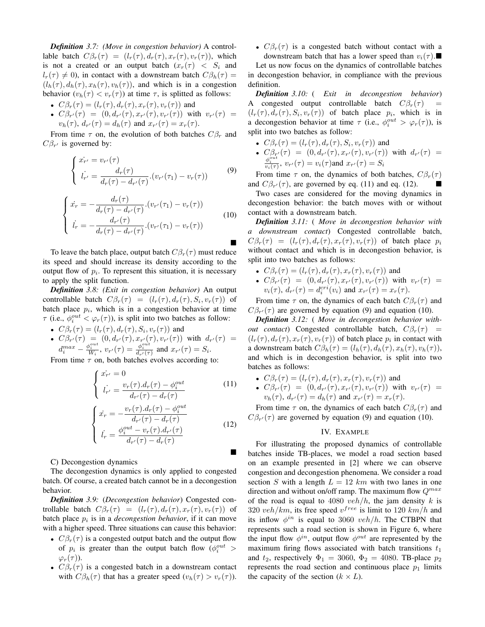*Definition 3.7: (Move in congestion behavior)* A controllable batch  $C\beta_r(\tau) = (l_r(\tau), d_r(\tau), x_r(\tau), v_r(\tau))$ , which is not a created or an output batch  $(x_r(\tau) < S_i$  and  $l_r(\tau) \neq 0$ ), in contact with a downstream batch  $C\beta_h(\tau) =$  $(l_h(\tau), d_h(\tau), x_h(\tau), v_h(\tau))$ , and which is in a congestion behavior  $(v_h(\tau) < v_r(\tau))$  at time  $\tau$ , is splitted as follows:

- $C\beta_r(\tau) = (l_r(\tau), d_r(\tau), x_r(\tau), v_r(\tau))$  and
- $C\beta_{r'}(\tau) = (0, d_{r'}(\tau), x_{r'}(\tau), v_{r'}(\tau))$  with  $v_{r'}(\tau) =$  $v_h(\tau)$ ,  $d_{r'}(\tau) = d_h(\tau)$  and  $x_{r'}(\tau) = x_r(\tau)$ .

From time  $\tau$  on, the evolution of both batches  $C\beta_r$  and  $C\beta_{r'}$  is governed by:

$$
\begin{cases}\n\dot{x}_{r'} = v_{r'}(\tau) \\
\dot{l}_{r'} = \frac{d_r(\tau)}{d_r(\tau) - d_{r'}(\tau)} \cdot (v_{r'}(\tau_1) - v_r(\tau))\n\end{cases} \tag{9}
$$

$$
\begin{cases}\n\dot{x}_r = -\frac{d_r(\tau)}{d_r(\tau) - d_{r'}(\tau)} \cdot (v_{r'}(\tau_1) - v_r(\tau)) \\
\dot{l}_r = -\frac{d_{r'}(\tau)}{d_r(\tau) - d_{r'}(\tau)} \cdot (v_{r'}(\tau_1) - v_r(\tau))\n\end{cases}
$$
\n(10)

To leave the batch place, output batch  $C\beta_r(\tau)$  must reduce its speed and should increase its density according to the output flow of  $p_i$ . To represent this situation, it is necessary to apply the split function.

*Definition 3.8: (Exit in congestion behavior)* An output controllable batch  $C\beta_r(\tau) = (l_r(\tau), d_r(\tau), S_i, v_r(\tau))$  of batch place  $p_i$ , which is in a congestion behavior at time  $\tau$  (i.e.,  $\phi_i^{out} < \varphi_r(\tau)$ ), is split into two batches as follow:

•  $C\beta_r(\tau) = (l_r(\tau), d_r(\tau), S_i, v_r(\tau))$  and •  $C \beta_{r'}(\tau) = (0, d_{r'}(\tau), x_{r'}(\tau), v_{r'}(\tau))$  with  $d_{r'}(\tau) =$  $d_i^{max} - \frac{\phi_i^{out}}{W_i}$ ,  $v_{r'}(\tau) = \frac{\phi_i^{out}}{d_{r'}(\tau)}$  and  $x_{r'}(\tau) = S_i$ .

From time  $\tau$  on, both batches evolves according to:

$$
\begin{cases}\n\dot{x_{r'}} = 0 \\
\dot{l_{r'}} = \frac{v_r(\tau) \cdot d_r(\tau) - \phi_i^{out}}{d_{r'}(\tau) - d_r(\tau)}\n\end{cases}
$$
\n(11)

$$
\begin{cases}\n\dot{x}_r = -\frac{v_r(\tau) \cdot d_r(\tau) - \phi_i^{out}}{d_{r'}(\tau) - d_r(\tau)} \\
\dot{l}_r = \frac{\phi_i^{out} - v_r(\tau) \cdot d_{r'}(\tau)}{d_{r'}(\tau) - d_r(\tau)}\n\end{cases}
$$
\n(12)

C) Decongestion dynamics

The decongestion dynamics is only applied to congested batch. Of course, a created batch cannot be in a decongestion behavior.

*Definition 3.9:* (*Decongestion behavior*) Congested controllable batch  $C\beta_r(\tau) = (l_r(\tau), d_r(\tau), x_r(\tau), v_r(\tau))$  of batch place  $p_i$  is in a *decongestion behavior*, if it can move with a higher speed. Three situations can cause this behavior:

- $C\beta_r(\tau)$  is a congested output batch and the output flow of  $p_i$  is greater than the output batch flow  $(\phi_i^{out} >$  $\varphi_r(\tau)$ ).
- $C\beta_r(\tau)$  is a congested batch in a downstream contact with  $C\beta_h(\tau)$  that has a greater speed  $(v_h(\tau) > v_r(\tau))$ .

•  $C\beta_r(\tau)$  is a congested batch without contact with a downstream batch that has a lower speed than  $v_i(\tau)$ .

Let us now focus on the dynamics of controllable batches in decongestion behavior, in compliance with the previous definition.

*Definition 3.10:* ( *Exit in decongestion behavior*) A congested output controllable batch  $C\beta_r(\tau)$  =  $(l_r(\tau), d_r(\tau), S_i, v_r(\tau))$  of batch place  $p_i$ , which is in a decongestion behavior at time  $\tau$  (i.e.,  $\phi_i^{out} > \varphi_r(\tau)$ ), is split into two batches as follow:

- $C\beta_r(\tau) = (l_r(\tau), d_r(\tau), S_i, v_r(\tau))$  and
- $C_{\beta_{T}'}^{\beta_{T}'}(\tau) = (0, d_{r'}(\tau), x_{r'}(\tau), v_{r'}(\tau))$  with  $d_{r'}(\tau) = \frac{\phi_i^{out}}{v_i(\tau)}, v_{r'}(\tau) = v_i(\tau)$  and  $x_{r'}(\tau) = S_i$

From time  $\tau$  on, the dynamics of both batches,  $C\beta_r(\tau)$ and  $C\beta_{r'}(\tau)$ , are governed by eq. (11) and eq. (12).

Two cases are considered for the moving dynamics in decongestion behavior: the batch moves with or without contact with a downstream batch.

*Definition 3.11:* ( *Move in decongestion behavior with a downstream contact*) Congested controllable batch,  $C\beta_r(\tau) = (l_r(\tau), d_r(\tau), x_r(\tau), v_r(\tau))$  of batch place  $p_i$ without contact and which is in decongestion behavior, is split into two batches as follows:

- $C\beta_r(\tau) = (l_r(\tau), d_r(\tau), x_r(\tau), v_r(\tau))$  and
- $C\beta_{r'}(\tau) = (0, d_{r'}(\tau), x_{r'}(\tau), v_{r'}(\tau))$  with  $v_{r'}(\tau) =$  $v_i(\tau)$ ,  $d_{r'}(\tau) = d_i^{cri}(v_i)$  and  $x_{r'}(\tau) = x_r(\tau)$ .

From time  $\tau$  on, the dynamics of each batch  $C\beta_r(\tau)$  and  $C\beta_{r'}(\tau)$  are governed by equation (9) and equation (10).

*Definition 3.12:* ( *Move in decongestion behavior without contact*) Congested controllable batch,  $C\beta_r(\tau)$  =  $(l_r(\tau), d_r(\tau), x_r(\tau), v_r(\tau))$  of batch place  $p_i$  in contact with a downstream batch  $C\beta_h(\tau) = (l_h(\tau), d_h(\tau), x_h(\tau), v_h(\tau)),$ and which is in decongestion behavior, is split into two batches as follows:

- $C\beta_r(\tau) = (l_r(\tau), d_r(\tau), x_r(\tau), v_r(\tau))$  and
- $C\beta_{r'}(\tau) = (0, d_{r'}(\tau), x_{r'}(\tau), v_{r'}(\tau))$  with  $v_{r'}(\tau) =$  $v_h(\tau)$ ,  $d_{r'}(\tau) = d_h(\tau)$  and  $x_{r'}(\tau) = x_r(\tau)$ .

From time  $\tau$  on, the dynamics of each batch  $C\beta_r(\tau)$  and  $C\beta_{r'}(\tau)$  are governed by equation (9) and equation (10).

#### IV. EXAMPLE

For illustrating the proposed dynamics of controllable batches inside TB-places, we model a road section based on an example presented in [2] where we can observe congestion and decongestion phenomena. We consider a road section S with a length  $L = 12$  km with two lanes in one direction and without on/off ramp. The maximum flow  $Q^{max}$ of the road is equal to 4080  $veh/h$ , the jam density k is 320 veh/km, its free speed  $v^{free}$  is limit to 120 km/h and its inflow  $\phi^{in}$  is equal to 3060  $veh/h$ . The CTBPN that represents such a road section is shown in Figure 6, where the input flow  $\phi^{in}$ , output flow  $\phi^{out}$  are represented by the maximum firing flows associated with batch transitions  $t_1$ and  $t_2$ , respectively  $\Phi_1 = 3060$ ,  $\Phi_2 = 4080$ . TB-place  $p_2$ represents the road section and continuous place  $p_1$  limits the capacity of the section  $(k \times L)$ .